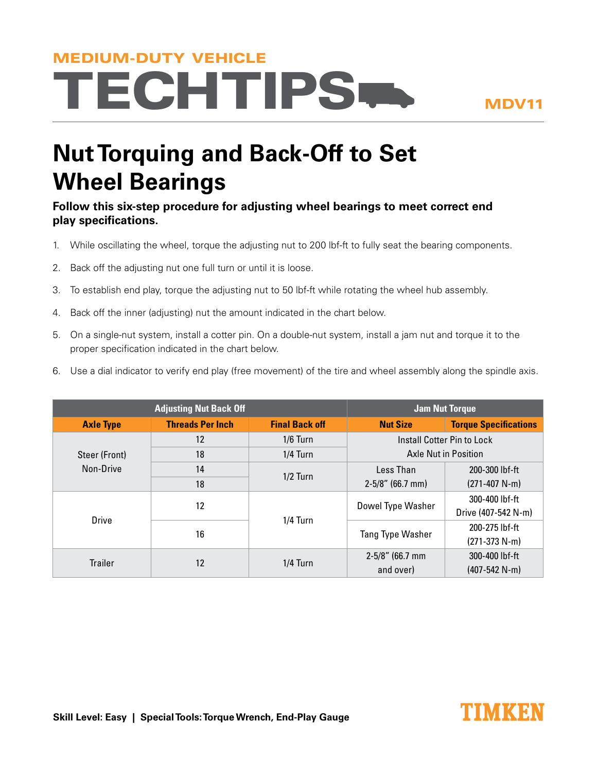## TECHTIPS MEDIUM-DUTY VEHICLE

## **Nut Torquing and Back-Off to Set Wheel Bearings**

## **Follow this six-step procedure for adjusting wheel bearings to meet correct end play specifications.**

- 1. While oscillating the wheel, torque the adjusting nut to 200 lbf-ft to fully seat the bearing components.
- 2. Back off the adjusting nut one full turn or until it is loose.
- 3. To establish end play, torque the adjusting nut to 50 lbf-ft while rotating the wheel hub assembly.
- 4. Back off the inner (adjusting) nut the amount indicated in the chart below.
- 5. On a single-nut system, install a cotter pin. On a double-nut system, install a jam nut and torque it to the proper specification indicated in the chart below.
- 6. Use a dial indicator to verify end play (free movement) of the tire and wheel assembly along the spindle axis.

| <b>Adjusting Nut Back Off</b> |                         |                       | <b>Jam Nut Torque</b>      |                                       |
|-------------------------------|-------------------------|-----------------------|----------------------------|---------------------------------------|
| <b>Axle Type</b>              | <b>Threads Per Inch</b> | <b>Final Back off</b> | <b>Nut Size</b>            | <b>Torque Specifications</b>          |
| Steer (Front)<br>Non-Drive    | 12                      | $1/6$ Turn            | Install Cotter Pin to Lock |                                       |
|                               | 18                      | $1/4$ Turn            | Axle Nut in Position       |                                       |
|                               | 14                      | $1/2$ Turn            | Less Than                  | 200-300 lbf-ft                        |
|                               | 18                      |                       | $2-5/8$ " (66.7 mm)        | $(271-407 N-m)$                       |
| <b>Drive</b>                  | 12                      | 1/4 Turn              | Dowel Type Washer          | 300-400 lbf-ft<br>Drive (407-542 N-m) |
|                               | 16                      |                       | <b>Tang Type Washer</b>    | 200-275 lbf-ft                        |
|                               |                         |                       |                            | $(271-373 N-m)$                       |
| <b>Trailer</b>                | 12                      | $1/4$ Turn            | $2-5/8"$ (66.7 mm          | 300-400 lbf-ft                        |
|                               |                         |                       | and over)                  | $(407-542 N-m)$                       |